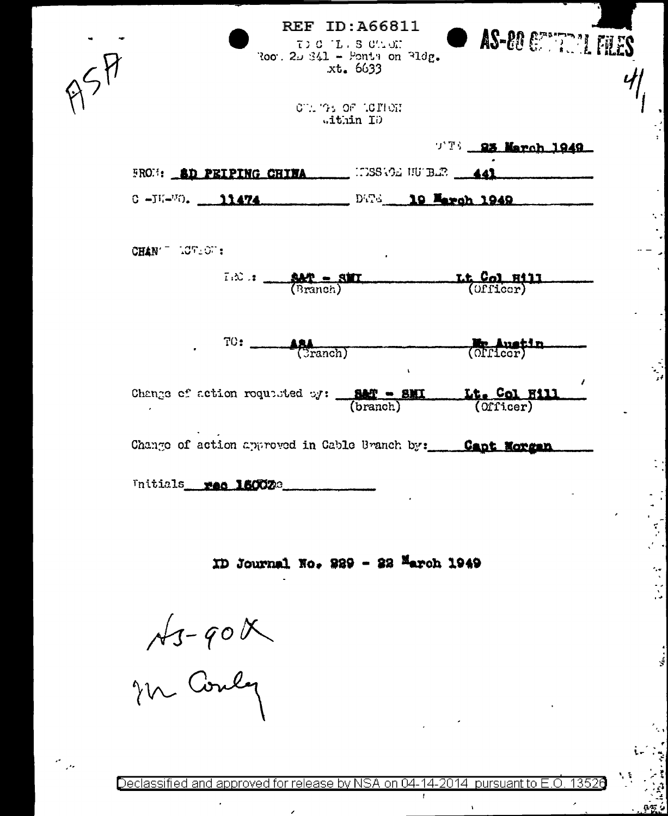| Roo. 20 341 - Ponts on 31dg.  | <b>REF ID: A66811</b><br>$T > C$ $T_L$ $S$ $C \sim T$ .<br>xt. 6633 |                    | $\bullet$ AS-80 $\epsilon$    |
|-------------------------------|---------------------------------------------------------------------|--------------------|-------------------------------|
|                               | CT. THE OF LOTION<br>Githin ID                                      |                    |                               |
|                               |                                                                     |                    | $T^{\text{TS}}$ 23 March 1949 |
| <b>FROM: SD PEIPING CHINA</b> |                                                                     | INSSAGE NU BER 141 |                               |
| С - ЛИ-МО. 11474.             |                                                                     | DWG 19 March 1949  |                               |
|                               |                                                                     |                    |                               |

CHAN TUREST:

 $I \otimes$ :  $\frac{SPR - STI}{(Branoh)}$ Lt. Col. Hill<br>(Officer) FILES

 $\frac{1}{2}$ 

 $-2$ 

| TO: | ARA      | <b>Mr Anetin</b> |
|-----|----------|------------------|
|     | (Cranch) | (Officer)        |

Change of action requested oy:  $\frac{BMT - BMT}{(branch)}$ Lt. Col Hill  $(0$ ficer $)$ 

Change of action approved in Cable Branch by: Capt Morgan

Initials red 160023

ID Journal No. 229 - 22 March 1949

 $A$  -  $90$  X

 $\mathbf{r}$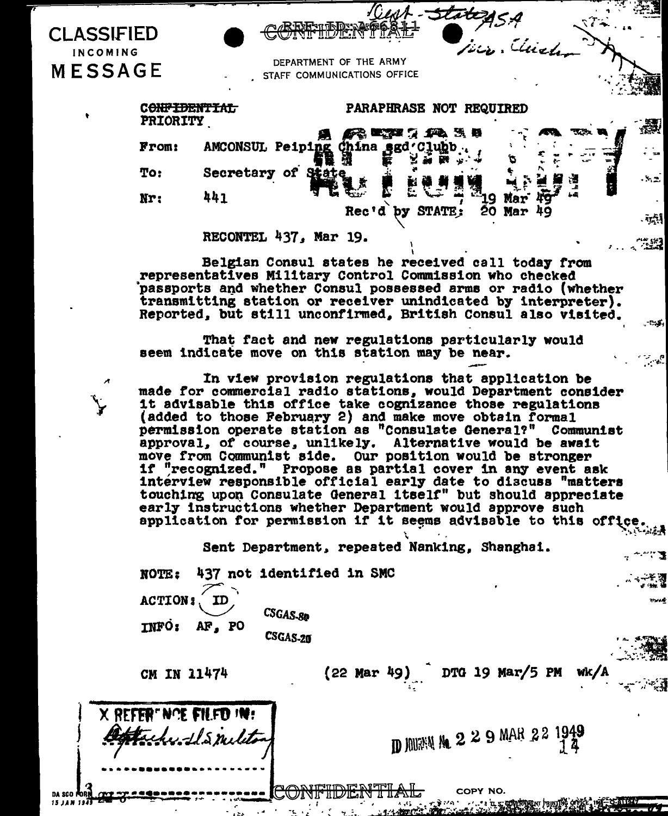| CLASSIFIED<br>INCOMING<br><b>MESSAGE</b> |                 |                                  | REFully Drawe & SI<br>DEPARTMENT OF THE ARMY | F- <del>State</del> 25.4<br>Jeco. Chichen |       |
|------------------------------------------|-----------------|----------------------------------|----------------------------------------------|-------------------------------------------|-------|
|                                          |                 |                                  | STAFF COMMUNICATIONS OFFICE                  |                                           |       |
|                                          | <b>PRIORITY</b> |                                  | PARAPHRASE NOT REQUIRED                      |                                           |       |
|                                          | From:           | AMCONSUL Peiping China sgd Clubb |                                              | 58、麝                                      | 襼     |
|                                          | To:             | Secretary of<br><b>State</b>     |                                              |                                           | $-52$ |
|                                          | Nr:             | 441                              | Rec'd                                        | iula b                                    | ьā    |
|                                          |                 |                                  | STATE:<br>by                                 | $20$ Mar $49$                             | $\pi$ |
|                                          |                 | RECONTEL 437, Mar 19.            |                                              |                                           | 733   |

Belgian Consul states he received call today from representatives Military Control Commission who checked passports and whether Consul possessed arms or radio (whether transmitting station or receiver unindicated by interpreter). Reported, but still unconfirmed, British Consul also visited.

That fact and new regulations particularly would seem indicate move on this station may be near.

In view provision regulations that application be made for commercial radio stations, would Department consider it advisable this office take cognizance those regulations (added to those February 2) and make move obtain formal permission operate station as "Consulate General?" Communist approval, of course, unlikely. Alternative would be await move from Communist side. Our position would be stronger if "recognized." Propose as partial cover in any event ask interview responsible official early date to discuss "matters touching upon Consulate General itself" but should appreciate early instructions whether Department would approve such application for permission if it seems advisable to this office

Sent Department, repeated Nanking, Shanghai.

437 not identified in SMC **NOTE: ACTION:** ID CSGAS-80 **INFO:** AF, PO

CSGAS-20

CM IN 11474

X REFERENCE EN ED IN:

:-:LS milit

DTG 19 Mar/5 PM  $(22$  Mar 49)

**D JOURNA 9 2 2 9 MAR 2 2 1949** 

COPY NO.

<u>הים את מוז</u>עות האותה

ానుకు